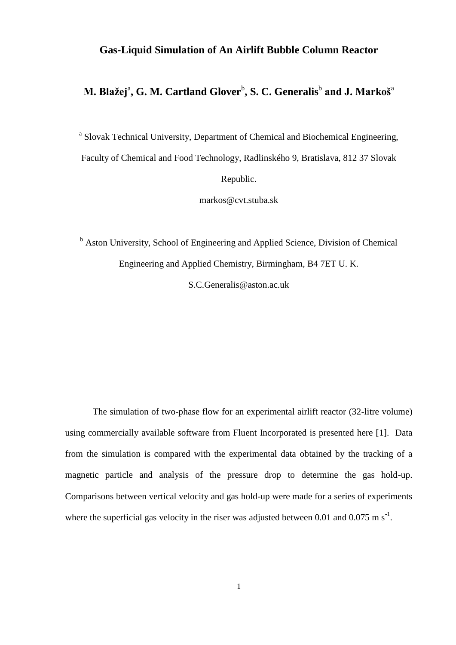### **Gas-Liquid Simulation of An Airlift Bubble Column Reactor**

## **M. Blažej<sup>a</sup>, G. M. Cartland Glover** $^{\text{b}}$ **, S. C. Generalis** $^{\text{b}}$  **and J. Markoš** $^{\text{a}}$

<sup>a</sup> Slovak Technical University, Department of Chemical and Biochemical Engineering, Faculty of Chemical and Food Technology, Radlinského 9, Bratislava, 812 37 Slovak Republic.

markos@cvt.stuba.sk

<sup>b</sup> Aston University, School of Engineering and Applied Science, Division of Chemical Engineering and Applied Chemistry, Birmingham, B4 7ET U. K.

S.C.Generalis@aston.ac.uk

The simulation of two-phase flow for an experimental airlift reactor (32-litre volume) using commercially available software from Fluent Incorporated is presented here [\[1\]](#page-26-0). Data from the simulation is compared with the experimental data obtained by the tracking of a magnetic particle and analysis of the pressure drop to determine the gas hold-up. Comparisons between vertical velocity and gas hold-up were made for a series of experiments where the superficial gas velocity in the riser was adjusted between 0.01 and 0.075 m  $s^{-1}$ .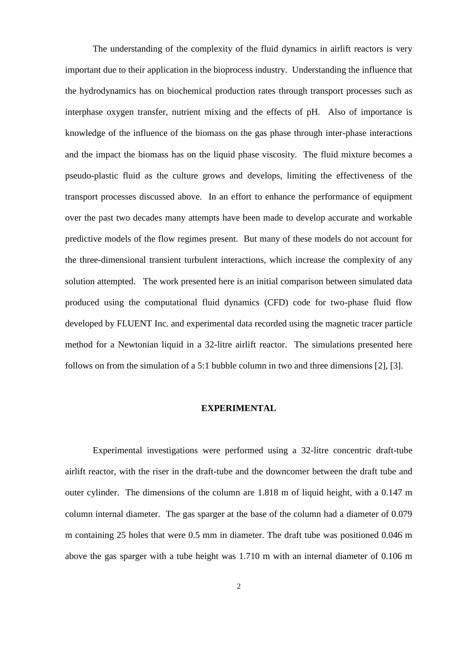The understanding of the complexity of the fluid dynamics in airlift reactors is very important due to their application in the bioprocess industry. Understanding the influence that the hydrodynamics has on biochemical production rates through transport processes such as interphase oxygen transfer, nutrient mixing and the effects of pH. Also of importance is knowledge of the influence of the biomass on the gas phase through inter-phase interactions and the impact the biomass has on the liquid phase viscosity. The fluid mixture becomes a pseudo-plastic fluid as the culture grows and develops, limiting the effectiveness of the transport processes discussed above. In an effort to enhance the performance of equipment over the past two decades many attempts have been made to develop accurate and workable predictive models of the flow regimes present. But many of these models do not account for the three-dimensional transient turbulent interactions, which increase the complexity of any solution attempted. The work presented here is an initial comparison between simulated data produced using the computational fluid dynamics (CFD) code for two-phase fluid flow developed by FLUENT Inc. and experimental data recorded using the magnetic tracer particle method for a Newtonian liquid in a 32-litre airlift reactor. The simulations presented here follows on from the simulation of a 5:1 bubble column in two and three dimensions [\[2\]](#page-26-1), [\[3\]](#page-26-2).

### **EXPERIMENTAL**

Experimental investigations were performed using a 32-litre concentric draft-tube airlift reactor, with the riser in the draft-tube and the downcomer between the draft tube and outer cylinder. The dimensions of the column are 1.818 m of liquid height, with a 0.147 m column internal diameter. The gas sparger at the base of the column had a diameter of 0.079 m containing 25 holes that were 0.5 mm in diameter. The draft tube was positioned 0.046 m above the gas sparger with a tube height was 1.710 m with an internal diameter of 0.106 m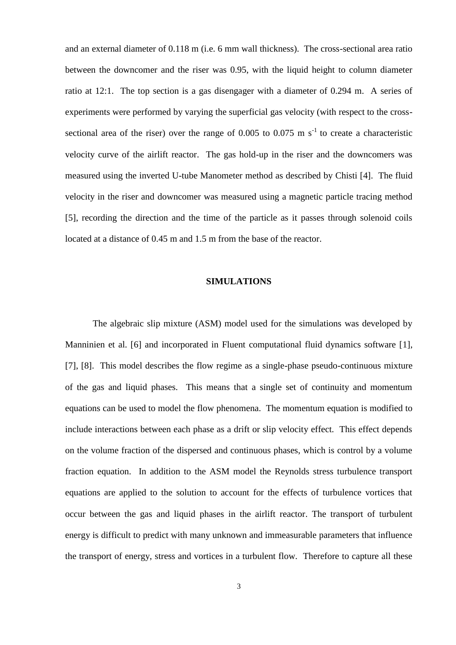and an external diameter of 0.118 m (i.e. 6 mm wall thickness). The cross-sectional area ratio between the downcomer and the riser was 0.95, with the liquid height to column diameter ratio at 12:1. The top section is a gas disengager with a diameter of 0.294 m. A series of experiments were performed by varying the superficial gas velocity (with respect to the crosssectional area of the riser) over the range of  $0.005$  to  $0.075$  m s<sup>-1</sup> to create a characteristic velocity curve of the airlift reactor. The gas hold-up in the riser and the downcomers was measured using the inverted U-tube Manometer method as described by Chisti [\[4\]](#page-26-3). The fluid velocity in the riser and downcomer was measured using a magnetic particle tracing method [\[5\]](#page-26-4), recording the direction and the time of the particle as it passes through solenoid coils located at a distance of 0.45 m and 1.5 m from the base of the reactor.

#### **SIMULATIONS**

The algebraic slip mixture (ASM) model used for the simulations was developed by Manninien et al. [\[6\]](#page-26-5) and incorporated in Fluent computational fluid dynamics software [\[1\]](#page-26-0), [\[7\]](#page-26-6), [\[8\]](#page-26-7). This model describes the flow regime as a single-phase pseudo-continuous mixture of the gas and liquid phases. This means that a single set of continuity and momentum equations can be used to model the flow phenomena. The momentum equation is modified to include interactions between each phase as a drift or slip velocity effect. This effect depends on the volume fraction of the dispersed and continuous phases, which is control by a volume fraction equation. In addition to the ASM model the Reynolds stress turbulence transport equations are applied to the solution to account for the effects of turbulence vortices that occur between the gas and liquid phases in the airlift reactor. The transport of turbulent energy is difficult to predict with many unknown and immeasurable parameters that influence the transport of energy, stress and vortices in a turbulent flow. Therefore to capture all these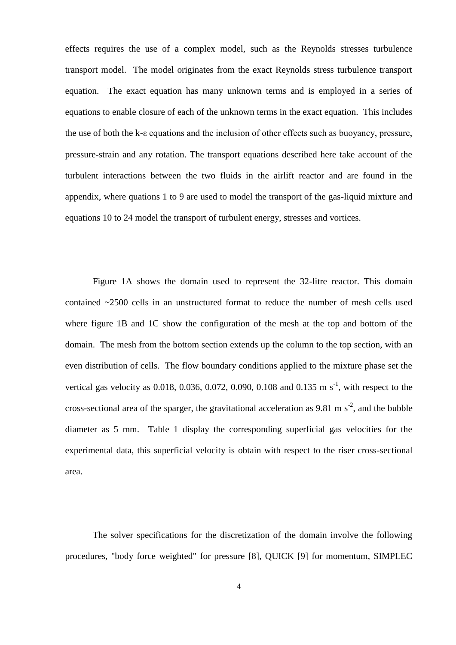effects requires the use of a complex model, such as the Reynolds stresses turbulence transport model. The model originates from the exact Reynolds stress turbulence transport equation. The exact equation has many unknown terms and is employed in a series of equations to enable closure of each of the unknown terms in the exact equation. This includes the use of both the k-ε equations and the inclusion of other effects such as buoyancy, pressure, pressure-strain and any rotation. The transport equations described here take account of the turbulent interactions between the two fluids in the airlift reactor and are found in the appendix, where quations 1 to 9 are used to model the transport of the gas-liquid mixture and equations 10 to 24 model the transport of turbulent energy, stresses and vortices.

Figure 1A shows the domain used to represent the 32-litre reactor. This domain contained ~2500 cells in an unstructured format to reduce the number of mesh cells used where figure 1B and 1C show the configuration of the mesh at the top and bottom of the domain. The mesh from the bottom section extends up the column to the top section, with an even distribution of cells. The flow boundary conditions applied to the mixture phase set the vertical gas velocity as  $0.018$ ,  $0.036$ ,  $0.072$ ,  $0.090$ ,  $0.108$  and  $0.135$  m s<sup>-1</sup>, with respect to the cross-sectional area of the sparger, the gravitational acceleration as 9.81 m  $s^2$ , and the bubble diameter as 5 mm. Table 1 display the corresponding superficial gas velocities for the experimental data, this superficial velocity is obtain with respect to the riser cross-sectional area.

The solver specifications for the discretization of the domain involve the following procedures, "body force weighted" for pressure [\[8\]](#page-26-7), QUICK [\[9\]](#page-26-8) for momentum, SIMPLEC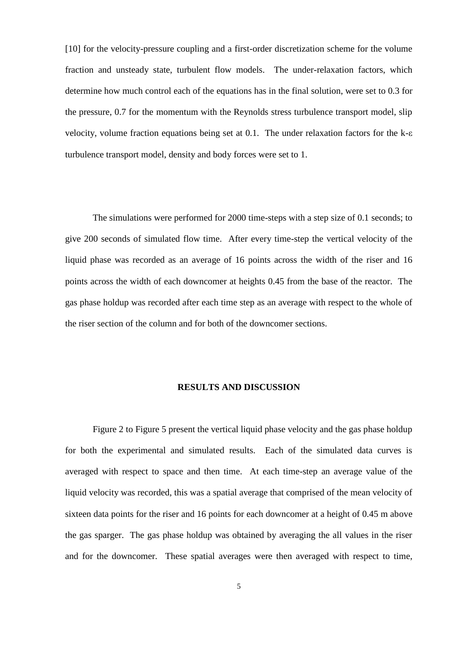[\[10\]](#page-26-9) for the velocity-pressure coupling and a first-order discretization scheme for the volume fraction and unsteady state, turbulent flow models. The under-relaxation factors, which determine how much control each of the equations has in the final solution, were set to 0.3 for the pressure, 0.7 for the momentum with the Reynolds stress turbulence transport model, slip velocity, volume fraction equations being set at 0.1. The under relaxation factors for the k-ε turbulence transport model, density and body forces were set to 1.

The simulations were performed for 2000 time-steps with a step size of 0.1 seconds; to give 200 seconds of simulated flow time. After every time-step the vertical velocity of the liquid phase was recorded as an average of 16 points across the width of the riser and 16 points across the width of each downcomer at heights 0.45 from the base of the reactor. The gas phase holdup was recorded after each time step as an average with respect to the whole of the riser section of the column and for both of the downcomer sections.

#### **RESULTS AND DISCUSSION**

Figure 2 to Figure 5 present the vertical liquid phase velocity and the gas phase holdup for both the experimental and simulated results. Each of the simulated data curves is averaged with respect to space and then time. At each time-step an average value of the liquid velocity was recorded, this was a spatial average that comprised of the mean velocity of sixteen data points for the riser and 16 points for each downcomer at a height of 0.45 m above the gas sparger. The gas phase holdup was obtained by averaging the all values in the riser and for the downcomer. These spatial averages were then averaged with respect to time,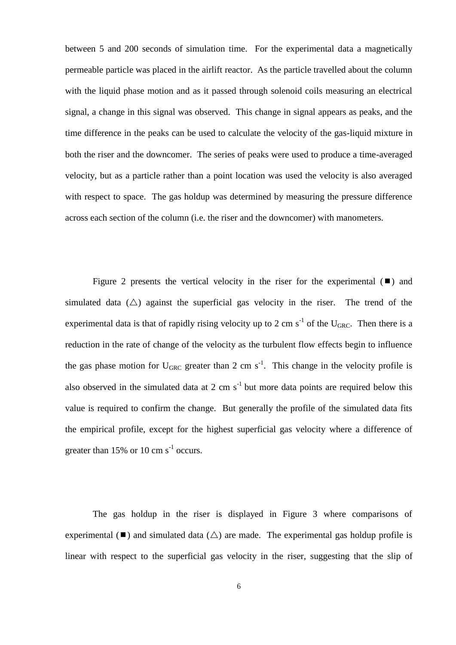between 5 and 200 seconds of simulation time. For the experimental data a magnetically permeable particle was placed in the airlift reactor. As the particle travelled about the column with the liquid phase motion and as it passed through solenoid coils measuring an electrical signal, a change in this signal was observed. This change in signal appears as peaks, and the time difference in the peaks can be used to calculate the velocity of the gas-liquid mixture in both the riser and the downcomer. The series of peaks were used to produce a time-averaged velocity, but as a particle rather than a point location was used the velocity is also averaged with respect to space. The gas holdup was determined by measuring the pressure difference across each section of the column (i.e. the riser and the downcomer) with manometers.

Figure 2 presents the vertical velocity in the riser for the experimental  $(\blacksquare)$  and simulated data ( $\triangle$ ) against the superficial gas velocity in the riser. The trend of the experimental data is that of rapidly rising velocity up to 2 cm  $s^{-1}$  of the U<sub>GRC</sub>. Then there is a reduction in the rate of change of the velocity as the turbulent flow effects begin to influence the gas phase motion for  $U_{GRC}$  greater than 2 cm s<sup>-1</sup>. This change in the velocity profile is also observed in the simulated data at 2 cm  $s^{-1}$  but more data points are required below this value is required to confirm the change. But generally the profile of the simulated data fits the empirical profile, except for the highest superficial gas velocity where a difference of greater than  $15\%$  or  $10 \text{ cm s}^{-1}$  occurs.

The gas holdup in the riser is displayed in Figure 3 where comparisons of experimental ( $\blacksquare$ ) and simulated data ( $\triangle$ ) are made. The experimental gas holdup profile is linear with respect to the superficial gas velocity in the riser, suggesting that the slip of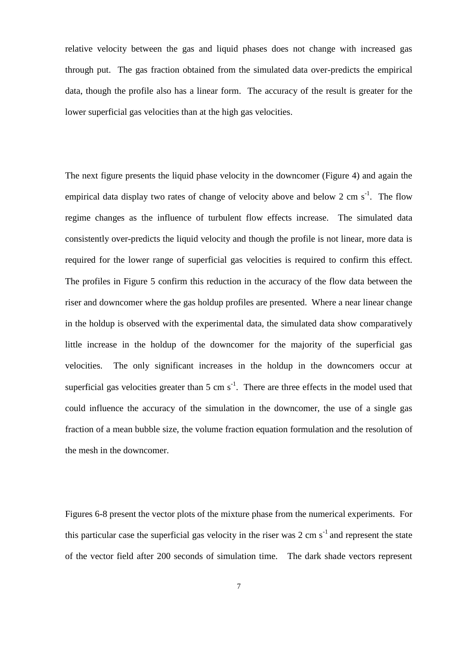relative velocity between the gas and liquid phases does not change with increased gas through put. The gas fraction obtained from the simulated data over-predicts the empirical data, though the profile also has a linear form. The accuracy of the result is greater for the lower superficial gas velocities than at the high gas velocities.

The next figure presents the liquid phase velocity in the downcomer (Figure 4) and again the empirical data display two rates of change of velocity above and below 2 cm  $s^{-1}$ . The flow regime changes as the influence of turbulent flow effects increase. The simulated data consistently over-predicts the liquid velocity and though the profile is not linear, more data is required for the lower range of superficial gas velocities is required to confirm this effect. The profiles in Figure 5 confirm this reduction in the accuracy of the flow data between the riser and downcomer where the gas holdup profiles are presented. Where a near linear change in the holdup is observed with the experimental data, the simulated data show comparatively little increase in the holdup of the downcomer for the majority of the superficial gas velocities. The only significant increases in the holdup in the downcomers occur at superficial gas velocities greater than  $5 \text{ cm s}^{-1}$ . There are three effects in the model used that could influence the accuracy of the simulation in the downcomer, the use of a single gas fraction of a mean bubble size, the volume fraction equation formulation and the resolution of the mesh in the downcomer.

Figures 6-8 present the vector plots of the mixture phase from the numerical experiments. For this particular case the superficial gas velocity in the riser was 2 cm  $s^{-1}$  and represent the state of the vector field after 200 seconds of simulation time. The dark shade vectors represent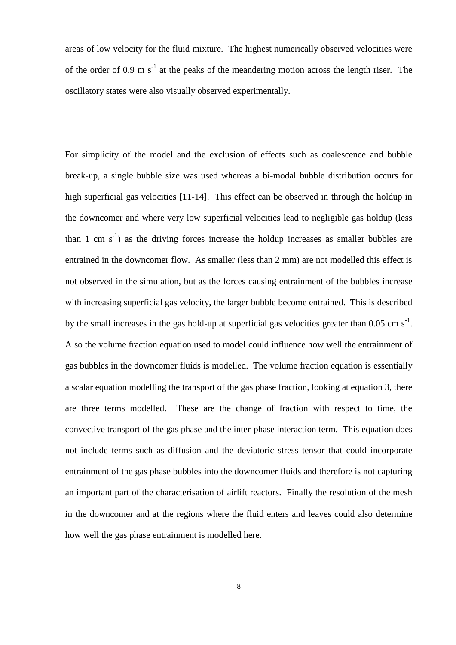areas of low velocity for the fluid mixture. The highest numerically observed velocities were of the order of 0.9 m  $s^{-1}$  at the peaks of the meandering motion across the length riser. The oscillatory states were also visually observed experimentally.

For simplicity of the model and the exclusion of effects such as coalescence and bubble break-up, a single bubble size was used whereas a bi-modal bubble distribution occurs for high superficial gas velocities [\[11](#page-26-10)[-14\]](#page-27-0). This effect can be observed in through the holdup in the downcomer and where very low superficial velocities lead to negligible gas holdup (less than 1 cm  $s^{-1}$ ) as the driving forces increase the holdup increases as smaller bubbles are entrained in the downcomer flow. As smaller (less than 2 mm) are not modelled this effect is not observed in the simulation, but as the forces causing entrainment of the bubbles increase with increasing superficial gas velocity, the larger bubble become entrained. This is described by the small increases in the gas hold-up at superficial gas velocities greater than 0.05 cm  $s^{-1}$ . Also the volume fraction equation used to model could influence how well the entrainment of gas bubbles in the downcomer fluids is modelled. The volume fraction equation is essentially a scalar equation modelling the transport of the gas phase fraction, looking at equation 3, there are three terms modelled. These are the change of fraction with respect to time, the convective transport of the gas phase and the inter-phase interaction term. This equation does not include terms such as diffusion and the deviatoric stress tensor that could incorporate entrainment of the gas phase bubbles into the downcomer fluids and therefore is not capturing an important part of the characterisation of airlift reactors. Finally the resolution of the mesh in the downcomer and at the regions where the fluid enters and leaves could also determine how well the gas phase entrainment is modelled here.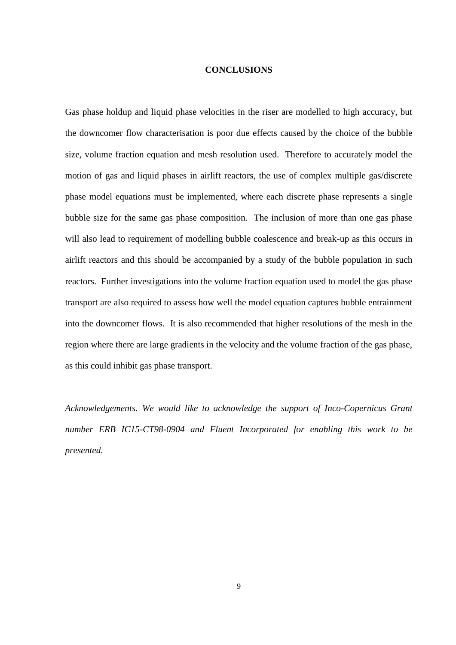#### **CONCLUSIONS**

Gas phase holdup and liquid phase velocities in the riser are modelled to high accuracy, but the downcomer flow characterisation is poor due effects caused by the choice of the bubble size, volume fraction equation and mesh resolution used. Therefore to accurately model the motion of gas and liquid phases in airlift reactors, the use of complex multiple gas/discrete phase model equations must be implemented, where each discrete phase represents a single bubble size for the same gas phase composition. The inclusion of more than one gas phase will also lead to requirement of modelling bubble coalescence and break-up as this occurs in airlift reactors and this should be accompanied by a study of the bubble population in such reactors. Further investigations into the volume fraction equation used to model the gas phase transport are also required to assess how well the model equation captures bubble entrainment into the downcomer flows. It is also recommended that higher resolutions of the mesh in the region where there are large gradients in the velocity and the volume fraction of the gas phase, as this could inhibit gas phase transport.

*Acknowledgements. We would like to acknowledge the support of Inco-Copernicus Grant number ERB IC15-CT98-0904 and Fluent Incorporated for enabling this work to be presented.*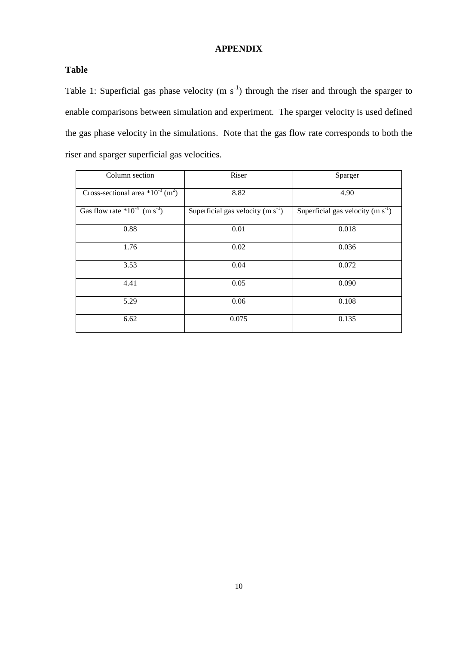### **APPENDIX**

### **Table**

Table 1: Superficial gas phase velocity  $(m s<sup>-1</sup>)$  through the riser and through the sparger to enable comparisons between simulation and experiment. The sparger velocity is used defined the gas phase velocity in the simulations. Note that the gas flow rate corresponds to both the riser and sparger superficial gas velocities.

| Column section                                    | Riser                              | Sparger                            |
|---------------------------------------------------|------------------------------------|------------------------------------|
| Cross-sectional area $*10^{-3}$ (m <sup>2</sup> ) | 8.82                               | 4.90                               |
| Gas flow rate $*10^{-4}$ (m s <sup>-3</sup> )     | Superficial gas velocity $(m s-1)$ | Superficial gas velocity $(m s-1)$ |
| 0.88                                              | 0.01                               | 0.018                              |
| 1.76                                              | 0.02                               | 0.036                              |
| 3.53                                              | 0.04                               | 0.072                              |
| 4.41                                              | 0.05                               | 0.090                              |
| 5.29                                              | 0.06                               | 0.108                              |
| 6.62                                              | 0.075                              | 0.135                              |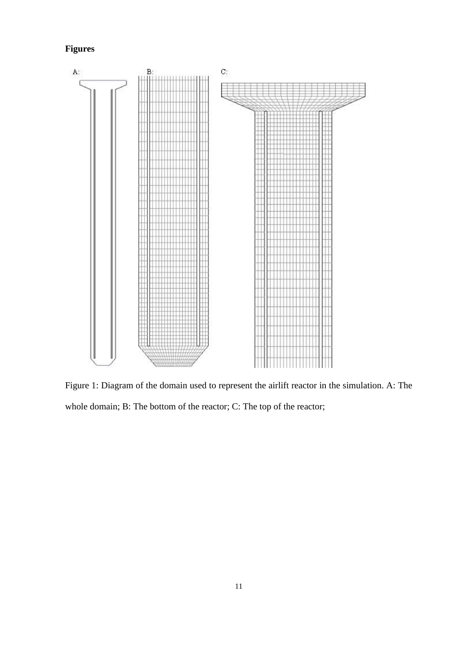# **Figures**



Figure 1: Diagram of the domain used to represent the airlift reactor in the simulation. A: The whole domain; B: The bottom of the reactor; C: The top of the reactor;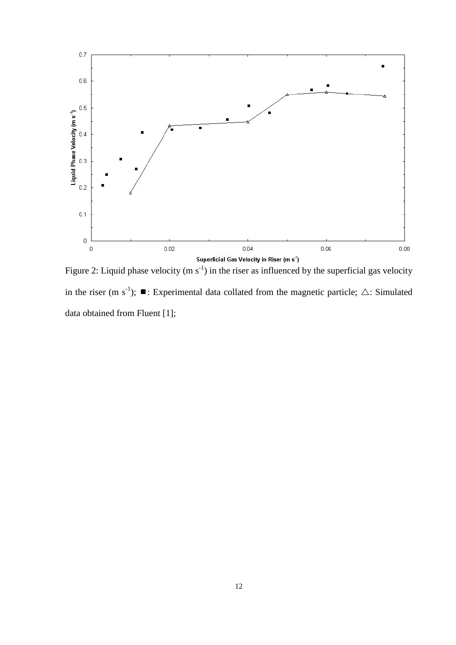

Figure 2: Liquid phase velocity (m  $s^{-1}$ ) in the riser as influenced by the superficial gas velocity in the riser (m s<sup>-1</sup>);  $\blacksquare$ : Experimental data collated from the magnetic particle;  $\triangle$ : Simulated data obtained from Fluent [\[1\]](#page-26-0);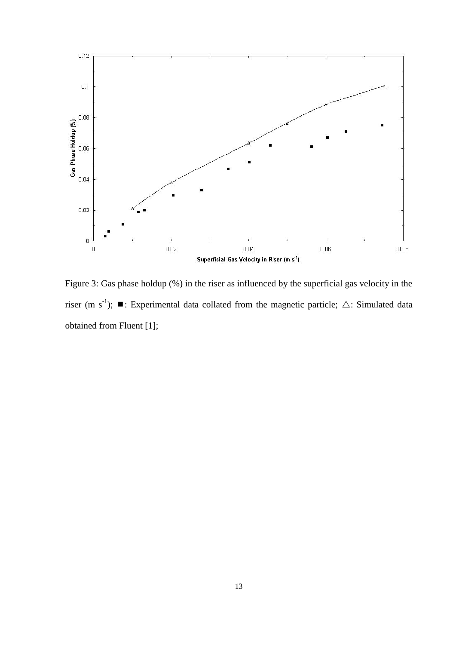

Figure 3: Gas phase holdup (%) in the riser as influenced by the superficial gas velocity in the riser (m s<sup>-1</sup>);  $\blacksquare$ : Experimental data collated from the magnetic particle;  $\triangle$ : Simulated data obtained from Fluent [\[1\]](#page-26-0);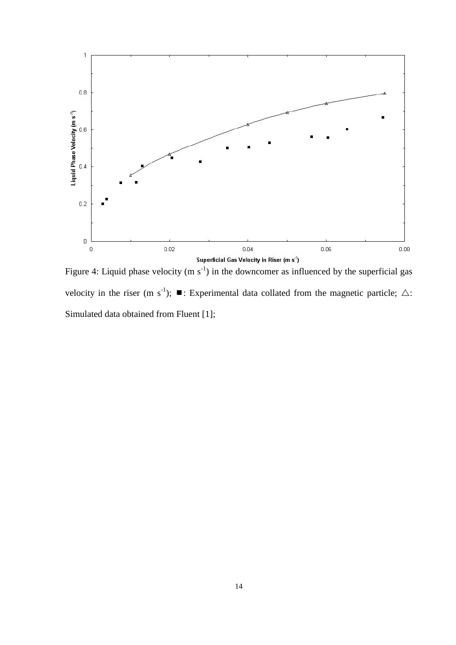

Figure 4: Liquid phase velocity (m  $s^{-1}$ ) in the downcomer as influenced by the superficial gas velocity in the riser (m s<sup>-1</sup>);  $\blacksquare$ : Experimental data collated from the magnetic particle;  $\triangle$ : Simulated data obtained from Fluent [\[1\]](#page-26-0);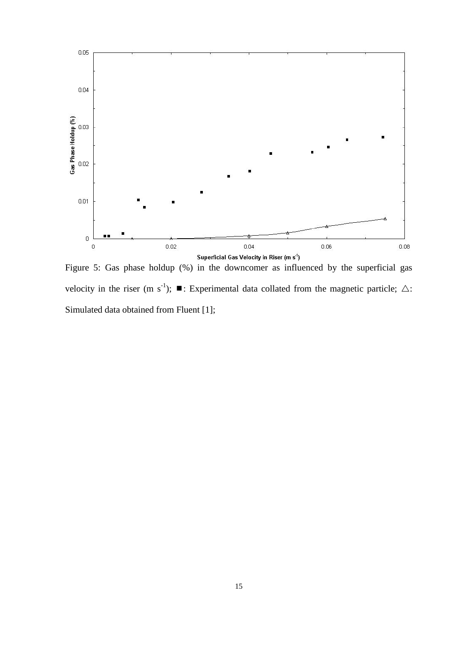

Figure 5: Gas phase holdup (%) in the downcomer as influenced by the superficial gas velocity in the riser (m s<sup>-1</sup>);  $\blacksquare$ : Experimental data collated from the magnetic particle;  $\triangle$ : Simulated data obtained from Fluent [\[1\]](#page-26-0);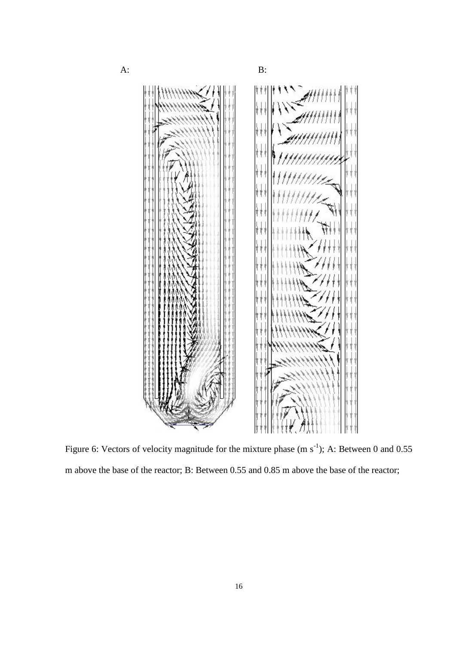

Figure 6: Vectors of velocity magnitude for the mixture phase  $(m s<sup>-1</sup>)$ ; A: Between 0 and 0.55 m above the base of the reactor; B: Between 0.55 and 0.85 m above the base of the reactor;

16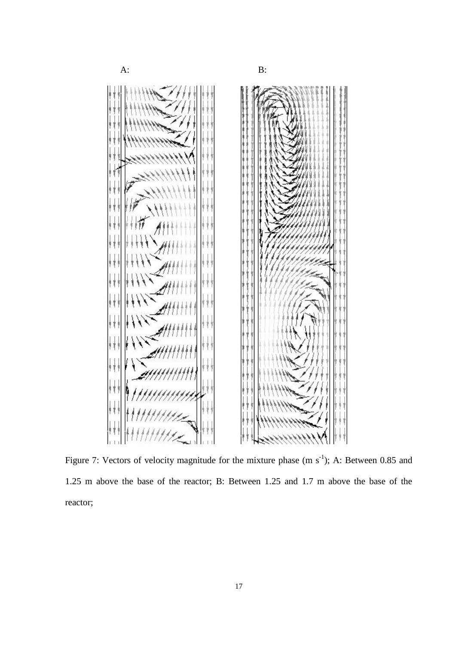

Figure 7: Vectors of velocity magnitude for the mixture phase  $(m s<sup>-1</sup>)$ ; A: Between 0.85 and 1.25 m above the base of the reactor; B: Between 1.25 and 1.7 m above the base of the reactor;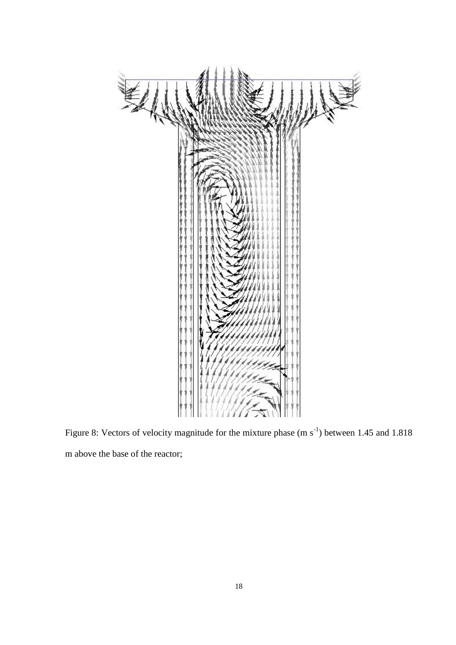

Figure 8: Vectors of velocity magnitude for the mixture phase  $(m s<sup>-1</sup>)$  between 1.45 and 1.818 m above the base of the reactor;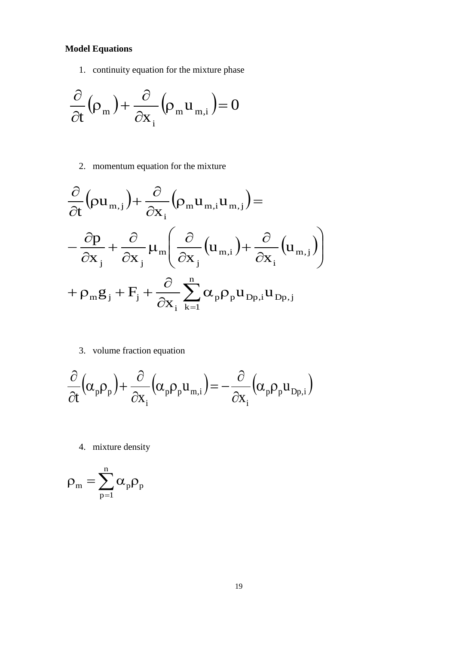## **Model Equations**

1. continuity equation for the mixture phase

$$
\frac{\partial}{\partial t}(\rho_m) + \frac{\partial}{\partial x_i}(\rho_m u_{m,i}) = 0
$$

2. momentum equation for the mixture

$$
\frac{\partial}{\partial t} \left( \rho u_{m,j} \right) + \frac{\partial}{\partial x_{i}} \left( \rho_{m} u_{m,i} u_{m,j} \right) = \n- \frac{\partial p}{\partial x_{j}} + \frac{\partial}{\partial x_{j}} \mu_{m} \left( \frac{\partial}{\partial x_{j}} \left( u_{m,i} \right) + \frac{\partial}{\partial x_{i}} \left( u_{m,j} \right) \right) \n+ \rho_{m} g_{j} + F_{j} + \frac{\partial}{\partial x_{i}} \sum_{k=1}^{n} \alpha_{p} \rho_{p} u_{Dp,i} u_{Dp,j}
$$

3. volume fraction equation

$$
\frac{\partial}{\partial t}(\alpha_{p}\rho_{p}) + \frac{\partial}{\partial x_{i}}(\alpha_{p}\rho_{p}u_{m,i}) = -\frac{\partial}{\partial x_{i}}(\alpha_{p}\rho_{p}u_{Dp,i})
$$

4. mixture density

$$
\rho_m=\sum_{p=1}^n\alpha_p\rho_p
$$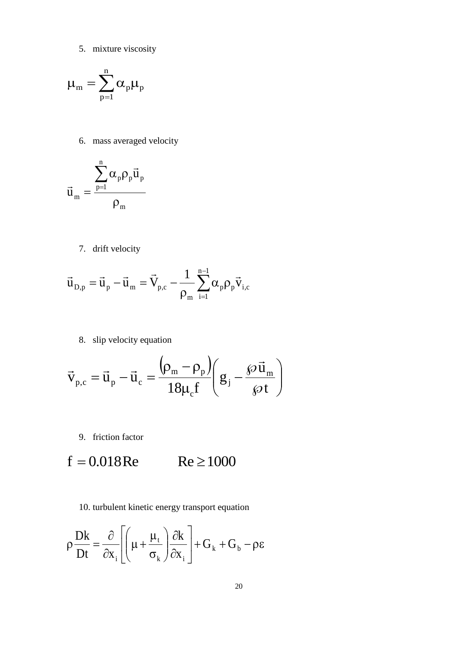5. mixture viscosity

$$
\mu_m=\sum_{p=1}^n\alpha_p\mu_p
$$

6. mass averaged velocity

$$
\vec{u}_{{\scriptscriptstyle{m}}}=\frac{\displaystyle\sum_{p=1}^n\alpha_p\rho_p\vec{u}_p}{\rho_{{\scriptscriptstyle{m}}}}
$$

7. drift velocity

$$
\vec{u}_{\mathrm{D},\mathrm{p}} = \vec{u}_{\mathrm{p}} - \vec{u}_{\mathrm{m}} = \vec{V}_{\mathrm{p,c}} - \frac{1}{\rho_{\mathrm{m}}} \sum_{\mathrm{i=1}}^{\mathrm{n-1}} \alpha_{\mathrm{p}} \rho_{\mathrm{p}} \vec{v}_{\mathrm{i,c}}
$$

8. slip velocity equation

$$
\vec{v}_{p,c} = \vec{u}_p - \vec{u}_c = \frac{(\rho_m - \rho_p)}{18\mu_c f} \left(g_j - \frac{\wp \vec{u}_m}{\wp t}\right)
$$

9. friction factor

$$
f = 0.018 \text{Re} \qquad \text{Re} \ge 1000
$$

10. turbulent kinetic energy transport equation

$$
\rho \frac{Dk}{Dt} = \frac{\partial}{\partial x_i} \left[ \left( \mu + \frac{\mu_t}{\sigma_k} \right) \frac{\partial k}{\partial x_i} \right] + G_k + G_b - \rho \varepsilon
$$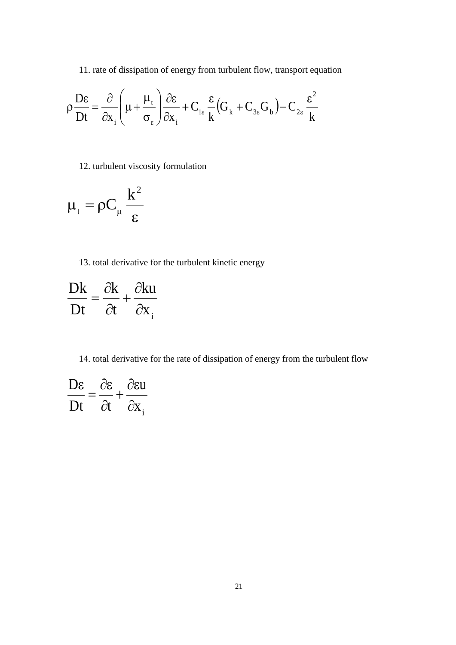11. rate of dissipation of energy from turbulent flow, transport equation

$$
\rho \frac{D\varepsilon}{Dt} = \frac{\partial}{\partial x_{i}} \left( \mu + \frac{\mu_{t}}{\sigma_{\varepsilon}} \right) \frac{\partial \varepsilon}{\partial x_{i}} + C_{1\varepsilon} \frac{\varepsilon}{k} \left( G_{k} + C_{3\varepsilon} G_{b} \right) - C_{2\varepsilon} \frac{\varepsilon^{2}}{k}
$$

12. turbulent viscosity formulation

$$
\mu_{\rm t}=\rho C_{\mu}\,\frac{k^2}{\epsilon}
$$

13. total derivative for the turbulent kinetic energy

$$
\frac{Dk}{Dt} = \frac{\partial k}{\partial t} + \frac{\partial ku}{\partial x_i}
$$

14. total derivative for the rate of dissipation of energy from the turbulent flow

$$
\frac{\mathbf{D}\varepsilon}{\mathbf{D}t} = \frac{\partial \varepsilon}{\partial t} + \frac{\partial \varepsilon u}{\partial x_i}
$$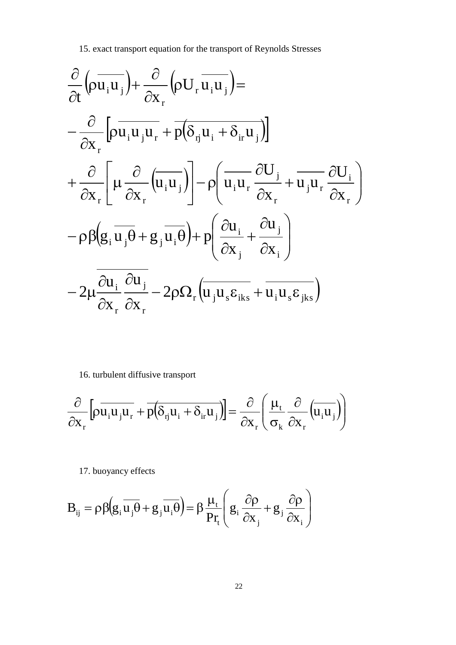15. exact transport equation for the transport of Reynolds Stresses

$$
\frac{\partial}{\partial t} (\rho \overline{u_i u_j}) + \frac{\partial}{\partial x_r} (\rho U_r \overline{u_i u_j}) =
$$
\n
$$
- \frac{\partial}{\partial x_r} [\rho \overline{u_i u_j u_r} + \overline{p(\delta_{rj} u_i + \delta_{ir} u_j)}]
$$
\n
$$
+ \frac{\partial}{\partial x_r} [\mu \frac{\partial}{\partial x_r} (\overline{u_i u_j})] - \rho (\overline{u_i u_r} \frac{\partial U_j}{\partial x_r} + \overline{u_j u_r} \frac{\partial U_i}{\partial x_r})
$$
\n
$$
- \rho \beta (g_i \overline{u_j \theta} + g_j \overline{u_i \theta}) + p (\frac{\partial u_i}{\partial x_j} + \frac{\partial u_j}{\partial x_i})
$$
\n
$$
- 2\mu \frac{\partial u_i}{\partial x_r} \frac{\partial u_j}{\partial x_r} - 2\rho \Omega_r (\overline{u_j u_s \epsilon_{iks}} + \overline{u_i u_s \epsilon_{jks}})
$$

16. turbulent diffusive transport

$$
\frac{\partial}{\partial x_{r}}\left[\rho \overline{u_{i}u_{j}u_{r}} + \overline{p}\left(\delta_{rj}u_{i} + \delta_{ir}u_{j}\right)\right] = \frac{\partial}{\partial x_{r}}\left(\frac{\mu_{t}}{\sigma_{k}}\frac{\partial}{\partial x_{r}}\left(\overline{u_{i}u_{j}}\right)\right)
$$

17. buoyancy effects

$$
B_{ij} = \rho \beta \left(g_i \overline{u_j \theta} + g_j \overline{u_i \theta}\right) = \beta \frac{\mu_t}{Pr_t} \left(g_i \frac{\partial \rho}{\partial x_j} + g_j \frac{\partial \rho}{\partial x_i}\right)
$$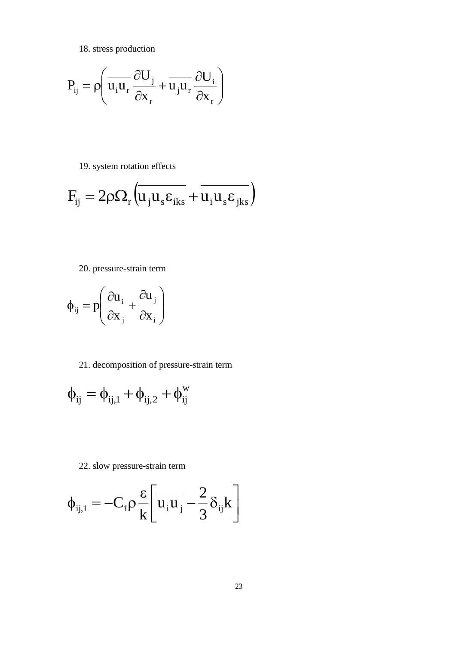18. stress production

$$
P_{ij} = \rho \left( \overline{u_i u_r} \frac{\partial U_j}{\partial x_r} + \overline{u_j u_r} \frac{\partial U_i}{\partial x_r} \right)
$$

19. system rotation effects

$$
F_{ij} = 2\rho \Omega_r \left( \overline{u_j u_s \epsilon_{iks}} + \overline{u_i u_s \epsilon_{jks}} \right)
$$

20. pressure-strain term

$$
\phi_{ij} = p \left( \frac{\partial u_i}{\partial x_j} + \frac{\partial u_j}{\partial x_i} \right)
$$

21. decomposition of pressure-strain term

$$
\varphi_{ij}=\varphi_{ij,1}+\varphi_{ij,2}+\varphi_{ij}^{\rm w}
$$

22. slow pressure-strain term

$$
\phi_{ij,1} = -C_1 \rho \frac{\varepsilon}{k} \left[ \overline{u_i u_j} - \frac{2}{3} \delta_{ij} k \right]
$$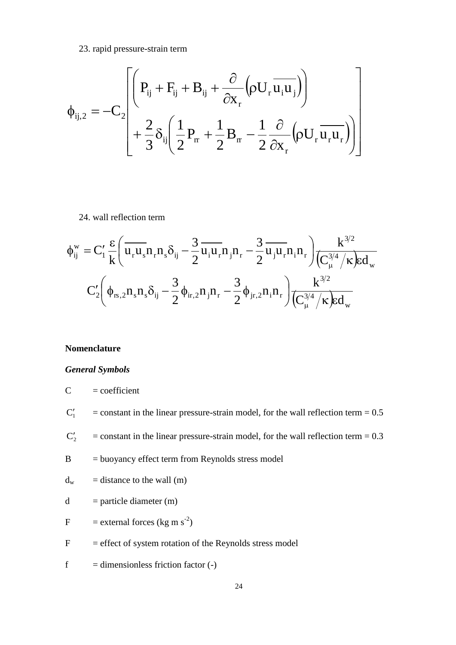23. rapid pressure-strain term

$$
\varphi_{ij,2} = -C_2 \left[ \left( P_{ij} + F_{ij} + B_{ij} + \frac{\partial}{\partial x_r} \left( \rho U_r \overline{u_i u_j} \right) \right) + \frac{2}{3} \delta_{ij} \left( \frac{1}{2} P_{rr} + \frac{1}{2} B_{rr} - \frac{1}{2} \frac{\partial}{\partial x_r} \left( \rho U_r \overline{u_r u_r} \right) \right) \right]
$$

### 24. wall reflection term

$$
\begin{aligned} \phi_{ij}^{w}=&\,C_{1}'\,\frac{\epsilon}{k}\Bigg(\overline{u_{r}u_{s}}n_{r}n_{s}\delta_{ij}-\frac{3}{2}\,\overline{u_{i}u_{r}}n_{j}n_{r}-\frac{3}{2}\,\overline{u_{j}u_{r}}n_{i}n_{r}\Bigg)\frac{k^{3/2}}{\Big(C_{\mu}^{3/4}\Big/\kappa\Big)\epsilon d_{w}}\\&\,C_{2}'\Bigg(\varphi_{rs,2}n_{s}n_{s}\delta_{ij}-\frac{3}{2}\varphi_{ir,2}n_{j}n_{r}-\frac{3}{2}\varphi_{jr,2}n_{i}n_{r}\Bigg)\frac{k^{3/2}}{\Big(C_{\mu}^{3/4}\Big/\kappa\Big)\epsilon d_{w}}\end{aligned}
$$

### **Nomenclature**

### *General Symbols*

$$
C = coefficient
$$

 $C_1'$  $=$  constant in the linear pressure-strain model, for the wall reflection term  $= 0.5$ 

- $\overline{C'_2}$  $=$  constant in the linear pressure-strain model, for the wall reflection term  $= 0.3$
- $B = buoyancy$  effect term from Reynolds stress model

$$
d_w
$$
 = distance to the wall (m)

- $d =$  particle diameter (m)
- F = external forces (kg m s<sup>-2</sup>)
- $F =$  effect of system rotation of the Reynolds stress model
- $f = dimensionless friction factor (-)$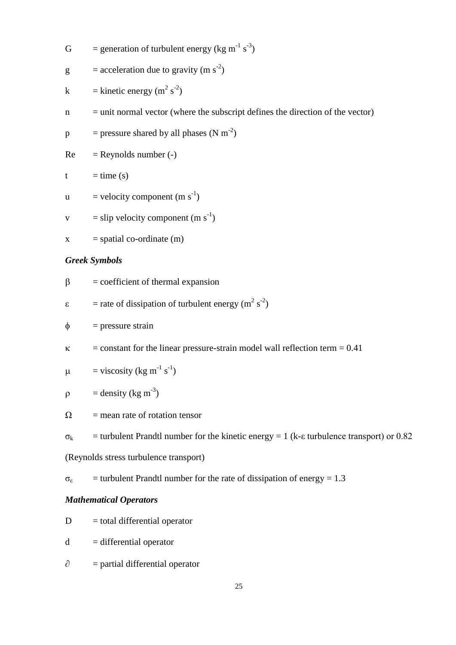G = generation of turbulent energy (kg m<sup>-1</sup> s<sup>-3</sup>)

$$
g = acceleration due to gravity (m s-2)
$$

- k = kinetic energy (m<sup>2</sup> s<sup>-2</sup>)
- $n =$  unit normal vector (where the subscript defines the direction of the vector)

$$
p
$$
 = pressure shared by all phases (N m<sup>-2</sup>)

$$
Re = Reynolds number (-)
$$

$$
t = time (s)
$$

- $u =$  velocity component (m s<sup>-1</sup>)
- $v =$ slip velocity component (m s<sup>-1</sup>)
- $x = spatial co-ordinate (m)$

## *Greek Symbols*

$$
\beta = coefficient of thermal expansion
$$

$$
\varepsilon = \text{rate of dissipation of turbulent energy (m}^2 \text{ s}^{-2})
$$

$$
\phi = \text{pressure strain}
$$

 $\kappa$  = constant for the linear pressure-strain model wall reflection term = 0.41

$$
\mu = \text{viscosity} (\text{kg m}^{-1} \text{ s}^{-1})
$$

$$
\rho = density (kg m-3)
$$

$$
\Omega = \text{mean rate of rotation tensor}
$$

 $\sigma_k$  = turbulent Prandtl number for the kinetic energy = 1 (k-ε turbulence transport) or 0.82

(Reynolds stress turbulence transport)

$$
\sigma_{\epsilon}
$$
 = turbulent Prandtl number for the rate of dissipation of energy = 1.3

### *Mathematical Operators*

- $D =$ total differential operator
- $d =$  differential operator
- $\partial$  = partial differential operator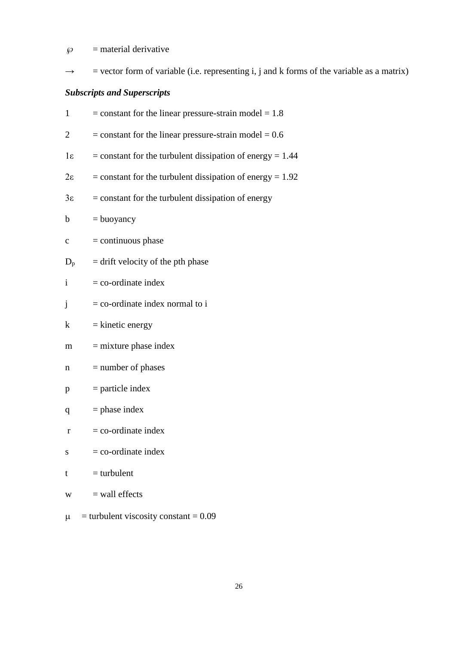$\wp$  = material derivative

 $\rightarrow$  = vector form of variable (i.e. representing i, j and k forms of the variable as a matrix)

## *Subscripts and Superscripts*

| $\mathbf{1}$   | $=$ constant for the linear pressure-strain model $= 1.8$     |
|----------------|---------------------------------------------------------------|
| $\overline{c}$ | $=$ constant for the linear pressure-strain model $= 0.6$     |
| $1\varepsilon$ | $=$ constant for the turbulent dissipation of energy $= 1.44$ |
| $2\varepsilon$ | $=$ constant for the turbulent dissipation of energy $= 1.92$ |
| $3\varepsilon$ | $=$ constant for the turbulent dissipation of energy          |
| $\mathbf b$    | $=$ buoyancy                                                  |
| $\mathbf C$    | $=$ continuous phase                                          |
| $D_p$          | $=$ drift velocity of the pth phase                           |
| $\mathbf{i}$   | $=$ co-ordinate index                                         |
| j              | $=$ co-ordinate index normal to i                             |
| k              | $=$ kinetic energy                                            |
| m              | $=$ mixture phase index                                       |
| n              | $=$ number of phases                                          |
| p              | $=$ particle index                                            |
| q              | $=$ phase index                                               |
| $\bf r$        | $=$ co-ordinate index                                         |
| S              | $=$ co-ordinate index                                         |
| t              | $=$ turbulent                                                 |
| W              | $=$ wall effects                                              |
|                |                                                               |

 $\mu$  = turbulent viscosity constant = 0.09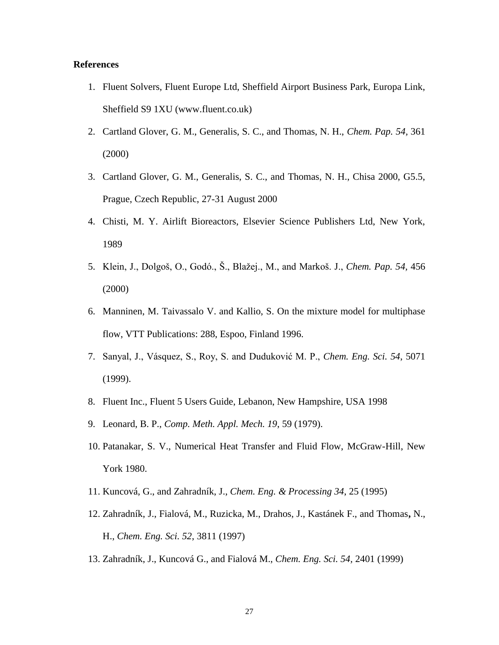### **References**

- 1. Fluent Solvers, Fluent Europe Ltd, Sheffield Airport Business Park, Europa Link, Sheffield S9 1XU (www.fluent.co.uk)
- <span id="page-26-0"></span>2. Cartland Glover, G. M., Generalis, S. C., and Thomas, N. H., *Chem. Pap. 54,* 361 (2000)
- <span id="page-26-1"></span>3. Cartland Glover, G. M., Generalis, S. C., and Thomas, N. H., Chisa 2000, G5.5, Prague, Czech Republic, 27-31 August 2000
- <span id="page-26-2"></span>4. Chisti, M. Y. Airlift Bioreactors, Elsevier Science Publishers Ltd, New York, 1989
- <span id="page-26-3"></span>5. Klein, J., Dolgoš, O., Godó., Š., Blažej., M., and Markoš. J., *Chem. Pap. 54,* 456 (2000)
- <span id="page-26-4"></span>6. Manninen, M. Taivassalo V. and Kallio, S. On the mixture model for multiphase flow, VTT Publications: 288, Espoo, Finland 1996.
- <span id="page-26-5"></span>7. Sanyal, J., Vásquez, S., Roy, S. and Duduković M. P., *Chem. Eng. Sci. 54*, 5071 (1999).
- <span id="page-26-6"></span>8. Fluent Inc., Fluent 5 Users Guide, Lebanon, New Hampshire, USA 1998
- 9. Leonard, B. P., *Comp. Meth. Appl. Mech. 19*, 59 (1979).
- <span id="page-26-8"></span><span id="page-26-7"></span>10. Patanakar, S. V., Numerical Heat Transfer and Fluid Flow, McGraw-Hill, New York 1980.
- <span id="page-26-9"></span>11. Kuncová, G., and Zahradník, J., *Chem. Eng. & Processing 34*, 25 (1995)
- <span id="page-26-10"></span>12. Zahradník, J., Fialová, M., Ruzicka, M., Drahos, J., Kastánek F., and Thomas**,** N., H., *Chem. Eng. Sci. 52*, 3811 (1997)
- 13. Zahradník, J., Kuncová G., and Fialová M., *Chem. Eng. Sci. 54,* 2401 (1999)